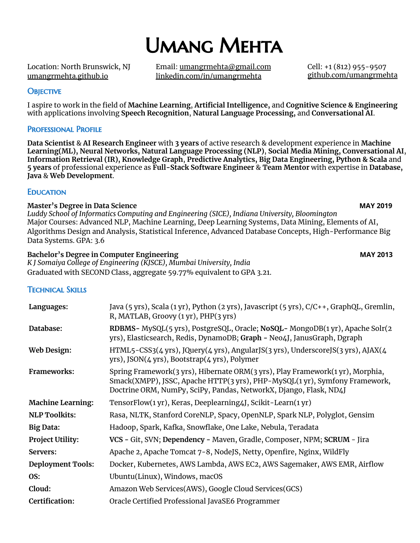# Umang Mehta

Location: North Brunswick, NJ [umangrmehta.github.io](http://umangrmehta.github.io)

Email: [umangrmehta@gmail.com](mailto:umangrmehta@gmail.com) [linkedin.com/in/umangrmehta](https://in.linkedin.com/in/umangrmehta)

Cell: +1 (812) 955-9507 [github.com/umangrmehta](https://github.com/umangrmehta)

### **OBJECTIVE**

I aspire to work in the field of **Machine Learning**, **Artificial Intelligence,** and **Cognitive Science & Engineering** with applications involving **Speech Recognition**, **Natural Language Processing,** and **Conversational AI**.

### Professional Profile

**Data Scientist** & **AI Research Engineer** with **3 years** of active research & development experience in **Machine Learning(ML), Neural Networks, Natural Language Processing (NLP)**, **Social Media Mining, Conversational AI**, **Information Retrieval (IR), Knowledge Graph**, **Predictive Analytics, Big Data Engineering, Python & Scala** and **5 years** of professional experience as **Full-Stack Software Engineer** & **Team Mentor** with expertise in **Database, Java** & **Web Development**.

### **EDUCATION**

### **Master's Degree in Data Science MAY 2019**

*Luddy School of Informatics Computing and Engineering (SICE), Indiana University, Bloomington* Major Courses: Advanced NLP, Machine Learning, Deep Learning Systems, Data Mining, Elements of AI, Algorithms Design and Analysis, Statistical Inference, Advanced Database Concepts, High-Performance Big Data Systems. GPA: 3.6

### **Bachelor's Degree in Computer Engineering MAY 2013** *K J Somaiya College of Engineering (KJSCE), Mumbai University, India* Graduated with SECOND Class, aggregate 59.77% equivalent to GPA 3.21.

Technical Skills

| Languages:               | Java (5 yrs), Scala (1 yr), Python (2 yrs), Javascript (5 yrs), C/C++, GraphQL, Gremlin,<br>R, MATLAB, Groovy $(1 \text{ yr})$ , PHP $(3 \text{ yrs})$                                                                           |
|--------------------------|----------------------------------------------------------------------------------------------------------------------------------------------------------------------------------------------------------------------------------|
| Database:                | RDBMS- MySQL(5 yrs), PostgreSQL, Oracle; NoSQL- MongoDB(1 yr), Apache Solr(2<br>yrs), Elasticsearch, Redis, DynamoDB; Graph - Neo4J, JanusGraph, Dgraph                                                                          |
| Web Design:              | HTML5-CSS3(4 yrs), JQuery(4 yrs), AngularJS(3 yrs), UnderscoreJS(3 yrs), AJAX(4<br>yrs), JSON(4 yrs), Bootstrap(4 yrs), Polymer                                                                                                  |
| Frameworks:              | Spring Framework(3 yrs), Hibernate ORM(3 yrs), Play Framework(1 yr), Morphia,<br>Smack(XMPP), JSSC, Apache HTTP(3 yrs), PHP-MySQL(1 yr), Symfony Framework,<br>Doctrine ORM, NumPy, SciPy, Pandas, NetworkX, Django, Flask, ND4J |
| <b>Machine Learning:</b> | TensorFlow(1 yr), Keras, Deeplearning4J, Scikit-Learn(1 yr)                                                                                                                                                                      |
| <b>NLP Toolkits:</b>     | Rasa, NLTK, Stanford CoreNLP, Spacy, OpenNLP, Spark NLP, Polyglot, Gensim                                                                                                                                                        |
| <b>Big Data:</b>         | Hadoop, Spark, Kafka, Snowflake, One Lake, Nebula, Teradata                                                                                                                                                                      |
| <b>Project Utility:</b>  | VCS - Git, SVN; Dependency - Maven, Gradle, Composer, NPM; SCRUM - Jira                                                                                                                                                          |
| Servers:                 | Apache 2, Apache Tomcat 7-8, NodeJS, Netty, Openfire, Nginx, WildFly                                                                                                                                                             |
| <b>Deployment Tools:</b> | Docker, Kubernetes, AWS Lambda, AWS EC2, AWS Sagemaker, AWS EMR, Airflow                                                                                                                                                         |
| OS:                      | Ubuntu(Linux), Windows, macOS                                                                                                                                                                                                    |
| Cloud:                   | Amazon Web Services(AWS), Google Cloud Services(GCS)                                                                                                                                                                             |
| Certification:           | Oracle Certified Professional JavaSE6 Programmer                                                                                                                                                                                 |
|                          |                                                                                                                                                                                                                                  |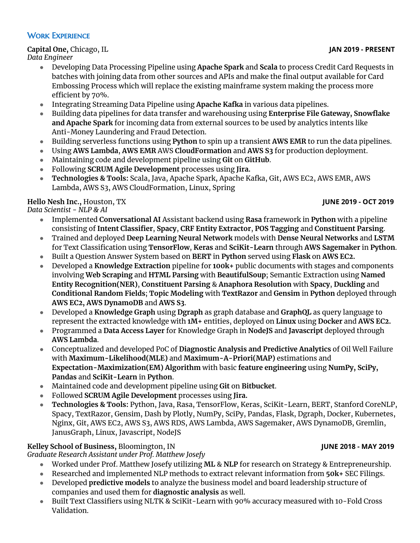### WORK EXPERIENCE

### **Capital One,** Chicago, IL **JAN 2019 - PRESENT**

*Data Engineer*

- Developing Data Processing Pipeline using **Apache Spark** and **Scala** to process Credit Card Requests in batches with joining data from other sources and APIs and make the final output available for Card Embossing Process which will replace the existing mainframe system making the process more efficient by 70%.
- Integrating Streaming Data Pipeline using **Apache Kafka** in various data pipelines.
- Building data pipelines for data transfer and warehousing using **Enterprise File Gateway, Snowflake and Apache Spark** for incoming data from external sources to be used by analytics intents like Anti-Money Laundering and Fraud Detection.
- Building serverless functions using **Python** to spin up a transient **AWS EMR** to run the data pipelines.
- Using **AWS Lambda**, **AWS EMR** AWS **CloudFormation** and **AWS S3** for production deployment.
- Maintaining code and development pipeline using **Git** on **GitHub**.
- Following **SCRUM Agile Development** processes using **Jira.**
- **● Technologies & Tools:** Scala, Java, Apache Spark, Apache Kafka, Git, AWS EC2, AWS EMR, AWS Lambda, AWS S3, AWS CloudFormation, Linux, Spring

## **Hello Nesh Inc.,** Houston, TX **JUNE 2019 - OCT 2019**

*Data Scientist - NLP & AI*

- Implemented **Conversational AI** Assistant backend using **Rasa** framework in **Python** with a pipeline consisting of **Intent Classifier**, **Spacy**, **CRF Entity Extractor**, **POS Tagging** and **Constituent Parsing**.
- Trained and deployed **Deep Learning Neural Network** models with **Dense Neural Networks** and **LSTM** for Text Classification using **TensorFlow**, **Keras** and **SciKit-Learn** through **AWS Sagemaker** in **Python**.
- Built a Question Answer System based on **BERT** in **Python** served using **Flask** on **AWS EC2.**
- Developed a **Knowledge Extraction** pipeline for **100k+** public documents with stages and components involving **Web Scraping** and **HTML Parsing** with **BeautifulSoup**; Semantic Extraction using **Named Entity Recognition(NER)**, **Constituent Parsing** & **Anaphora Resolution** with **Spacy**, **Duckling** and **Conditional Random Fields**; **Topic Modeling** with **TextRazor** and **Gensim** in **Python** deployed through **AWS EC2, AWS DynamoDB** and **AWS S3**.
- Developed a **Knowledge Graph** using **Dgraph** as graph database and **GraphQL** as query language to represent the extracted knowledge with **1M+** entities, deployed on **Linux** using **Docker** and **AWS EC2.**
- Programmed a **Data Access Layer** for Knowledge Graph in **NodeJS** and **Javascript** deployed through **AWS Lambda**.
- Conceptualized and developed PoC of **Diagnostic Analysis and Predictive Analytics** of Oil Well Failure with **Maximum-Likelihood(MLE)** and **Maximum-A-Priori(MAP)** estimations and **Expectation-Maximization(EM) Algorithm** with basic **feature engineering** using **NumPy, SciPy, Pandas** and **SciKit-Learn** in **Python**.
- Maintained code and development pipeline using **Git** on **Bitbucket**.
- Followed **SCRUM Agile Development** processes using **Jira.**
- **● Technologies & Tools:** Python, Java, Rasa, TensorFlow, Keras, SciKit-Learn, BERT, Stanford CoreNLP, Spacy, TextRazor, Gensim, Dash by Plotly, NumPy, SciPy, Pandas, Flask, Dgraph, Docker, Kubernetes, Nginx, Git, AWS EC2, AWS S3, AWS RDS, AWS Lambda, AWS Sagemaker, AWS DynamoDB, Gremlin, JanusGraph, Linux, Javascript, NodeJS

## **Kelley School of Business,** Bloomington, IN **JUNE 2018 - MAY 2019**

*Graduate Research Assistant under Prof. Matthew Josefy*

- Worked under Prof. Matthew Josefy utilizing **ML** & **NLP** for research on Strategy & Entrepreneurship.
- Researched and implemented NLP methods to extract relevant information from **50k+** SEC Filings.
- Developed **predictive models** to analyze the business model and board leadership structure of companies and used them for **diagnostic analysis** as well.
- Built Text Classifiers using NLTK & SciKit-Learn with 90% accuracy measured with 10-Fold Cross Validation.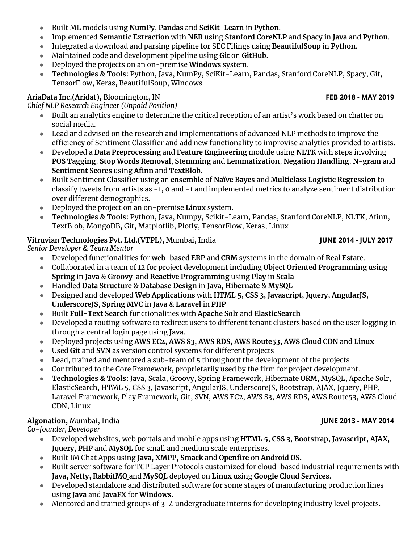- Built ML models using **NumPy**, **Pandas** and **SciKit-Learn** in **Python**.
- Implemented **Semantic Extraction** with **NER** using **Stanford CoreNLP** and **Spacy** in **Java** and **Python**.
- Integrated a download and parsing pipeline for SEC Filings using **BeautifulSoup** in **Python**.
- Maintained code and development pipeline using **Git** on **GitHub**.
- Deployed the projects on an on-premise **Windows** system.
- **● Technologies & Tools:** Python, Java, NumPy, SciKit-Learn, Pandas, Stanford CoreNLP, Spacy, Git, TensorFlow, Keras, BeautifulSoup, Windows

# **AriaData Inc.(Aridat),** Bloomington, IN **FEB 2018 - MAY 2019**

*Chief NLP Research Engineer (Unpaid Position)*

- Built an analytics engine to determine the critical reception of an artist's work based on chatter on social media.
- Lead and advised on the research and implementations of advanced NLP methods to improve the efficiency of Sentiment Classifier and add new functionality to improvise analytics provided to artists.
- Developed a **Data Preprocessing** and **Feature Engineering** module using **NLTK** with steps involving **POS Tagging**, **Stop Words Removal**, **Stemming** and **Lemmatization**, **Negation Handling**, **N-gram** and **Sentiment Scores** using **Afinn** and **TextBlob**.
- Built Sentiment Classifier using an **ensemble** of **Naїve Bayes** and **Multiclass Logistic Regression** to classify tweets from artists as +1, 0 and -1 and implemented metrics to analyze sentiment distribution over different demographics.
- Deployed the project on an on-premise **Linux** system.
- **● Technologies & Tools:** Python, Java, Numpy, Scikit-Learn, Pandas, Stanford CoreNLP, NLTK, Afinn, TextBlob, MongoDB, Git, Matplotlib, Plotly, TensorFlow, Keras, Linux

# **Vitruvian Technologies Pvt. Ltd.(VTPL),** Mumbai, India **JUNE 2014 - JULY 2017**

*Senior Developer & Team Mentor*

- Developed functionalities for **web-based ERP** and **CRM** systems in the domain of **Real Estate**.
- Collaborated in a team of 12 for project development including **Object Oriented Programming** using **Spring** in **Java** & **Groovy** and **Reactive Programming** using **Play** in **Scala**
- Handled **Data Structure** & **Database Design** in **Java, Hibernate** & **MySQL**
- Designed and developed **Web Applications** with **HTML 5, CSS 3, Javascript, Jquery, AngularJS, UnderscoreJS, Spring MVC** in **Java** & **Laravel** in **PHP**
- Built **Full-Text Search** functionalities with **Apache Solr** and **ElasticSearch**
- Developed a routing software to redirect users to different tenant clusters based on the user logging in through a central login page using **Java**.
- Deployed projects using **AWS EC2, AWS S3, AWS RDS, AWS Route53, AWS Cloud CDN** and **Linux**
- Used **Git** and **SVN** as version control systems for different projects
- Lead, trained and mentored a sub-team of 5 throughout the development of the projects
- Contributed to the Core Framework, proprietarily used by the firm for project development.
- **Technologies & Tools:** Java, Scala, Groovy, Spring Framework, Hibernate ORM, MySQL, Apache Solr, ElasticSearch, HTML 5, CSS 3, Javascript, AngularJS, UnderscoreJS, Bootstrap, AJAX, Jquery, PHP, Laravel Framework, Play Framework, Git, SVN, AWS EC2, AWS S3, AWS RDS, AWS Route53, AWS Cloud CDN, Linux

## **Algonation,** Mumbai, India **JUNE 2013 - MAY 2014**

*Co-founder, Developer*

- Developed websites, web portals and mobile apps using **HTML 5, CSS 3, Bootstrap, Javascript, AJAX, Jquery, PHP** and **MySQL** for small and medium scale enterprises.
- Built IM Chat Apps using **Java, XMPP, Smack** and **Openfire** on **Android OS.**
- Built server software for TCP Layer Protocols customized for cloud-based industrial requirements with **Java, Netty, RabbitMQ** and **MySQL** deployed on **Linux** using **Google Cloud Services.**
- Developed standalone and distributed software for some stages of manufacturing production lines using **Java** and **JavaFX** for **Windows**.
- Mentored and trained groups of 3-4 undergraduate interns for developing industry level projects.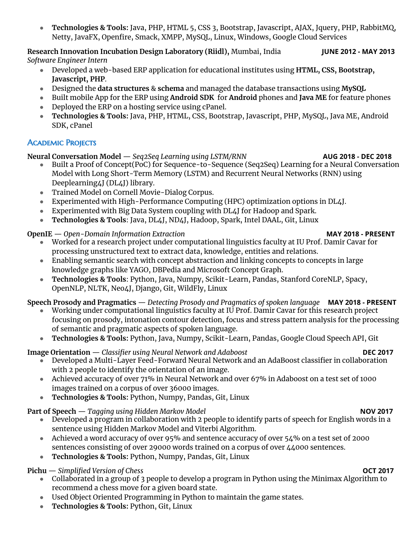● **Technologies & Tools:** Java, PHP, HTML 5, CSS 3, Bootstrap, Javascript, AJAX, Jquery, PHP, RabbitMQ, Netty, JavaFX, Openfire, Smack, XMPP, MySQL, Linux, Windows, Google Cloud Services

**Research Innovation Incubation Design Laboratory (Riidl),** Mumbai, India **JUNE 2012 - MAY 2013** *Software Engineer Intern*

- Developed a web-based ERP application for educational institutes using **HTML, CSS, Bootstrap, Javascript, PHP**.
- Designed the **data structures** & **schema** and managed the database transactions using **MySQL**
- Built mobile App for the ERP using **Android SDK** for **Android** phones and **Java ME** for feature phones
- Deployed the ERP on a hosting service using cPanel.
- **Technologies & Tools:** Java, PHP, HTML, CSS, Bootstrap, Javascript, PHP, MySQL, Java ME, Android SDK, cPanel

# **ACADEMIC PROJECTS**

**Neural Conversation Model** — *Seq2Seq Learning using LSTM/RNN* **AUG 2018 - DEC 2018**

- Built a Proof of Concept(PoC) for Sequence-to-Sequence (Seq2Seq) Learning for a Neural Conversation Model with Long Short-Term Memory (LSTM) and Recurrent Neural Networks (RNN) using Deeplearning4J (DL4J) library.
- Trained Model on Cornell Movie-Dialog Corpus.
- Experimented with High-Performance Computing (HPC) optimization options in DL4J.
- Experimented with Big Data System coupling with DL4J for Hadoop and Spark.
- **Technologies & Tools**: Java, DL4J, ND4J, Hadoop, Spark, Intel DAAL, Git, Linux

# **OpenIE** — *Open-Domain Information Extraction* **MAY 2018 - PRESENT**

- Worked for a research project under computational linguistics faculty at IU Prof. Damir Cavar for processing unstructured text to extract data, knowledge, entities and relations.
- Enabling semantic search with concept abstraction and linking concepts to concepts in large knowledge graphs like YAGO, DBPedia and Microsoft Concept Graph.
- **Technologies & Tools**: Python, Java, Numpy, Scikit-Learn, Pandas, Stanford CoreNLP, Spacy, OpenNLP, NLTK, Neo4J, Django, Git, WildFly, Linux

# **Speech Prosody and Pragmatics** — *Detecting Prosody and Pragmatics of spoken language* **MAY 2018 - PRESENT**

- Working under computational linguistics faculty at IU Prof. Damir Cavar for this research project focusing on prosody, intonation contour detection, focus and stress pattern analysis for the processing of semantic and pragmatic aspects of spoken language.
- **Technologies & Tools:** Python, Java, Numpy, Scikit-Learn, Pandas, Google Cloud Speech API, Git

# **Image Orientation** — *Classifier using Neural Network and Adaboost* **DEC 2017**

- Developed a Multi-Layer Feed-Forward Neural Network and an AdaBoost classifier in collaboration with 2 people to identify the orientation of an image.
- Achieved accuracy of over 71% in Neural Network and over 67% in Adaboost on a test set of 1000 images trained on a corpus of over 36000 images.
- **Technologies & Tools:** Python, Numpy, Pandas, Git, Linux

# **Part of Speech** — *Tagging using Hidden Markov Model* **NOV 2017**

- Developed a program in collaboration with 2 people to identify parts of speech for English words in a sentence using Hidden Markov Model and Viterbi Algorithm.
- Achieved a word accuracy of over 95% and sentence accuracy of over 54% on a test set of 2000 sentences consisting of over 29000 words trained on a corpus of over 44000 sentences.
- **Technologies & Tools:** Python, Numpy, Pandas, Git, Linux

# **Pichu** — *Simplified Version of Chess* **OCT 2017**

- Collaborated in a group of 3 people to develop a program in Python using the Minimax Algorithm to recommend a chess move for a given board state.
- Used Object Oriented Programming in Python to maintain the game states.
- **Technologies & Tools:** Python, Git, Linux